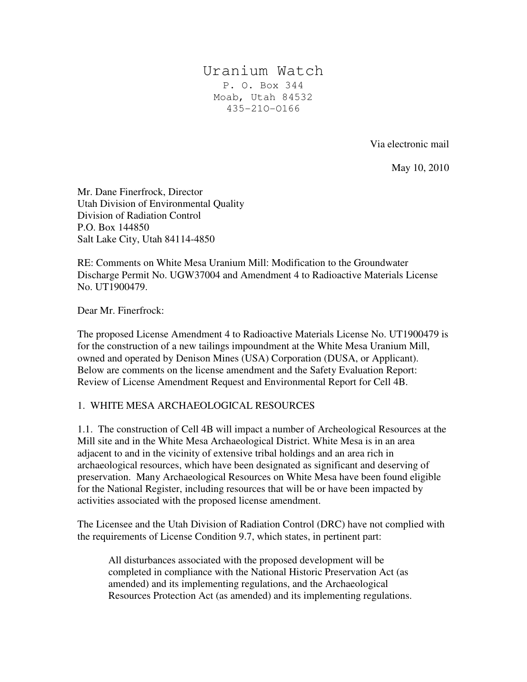# Uranium Watch P. O. Box 344 Moab, Utah 84532 435-21O-O166

Via electronic mail

May 10, 2010

Mr. Dane Finerfrock, Director Utah Division of Environmental Quality Division of Radiation Control P.O. Box 144850 Salt Lake City, Utah 84114-4850

RE: Comments on White Mesa Uranium Mill: Modification to the Groundwater Discharge Permit No. UGW37004 and Amendment 4 to Radioactive Materials License No. UT1900479.

Dear Mr. Finerfrock:

The proposed License Amendment 4 to Radioactive Materials License No. UT1900479 is for the construction of a new tailings impoundment at the White Mesa Uranium Mill, owned and operated by Denison Mines (USA) Corporation (DUSA, or Applicant). Below are comments on the license amendment and the Safety Evaluation Report: Review of License Amendment Request and Environmental Report for Cell 4B.

# 1. WHITE MESA ARCHAEOLOGICAL RESOURCES

1.1. The construction of Cell 4B will impact a number of Archeological Resources at the Mill site and in the White Mesa Archaeological District. White Mesa is in an area adjacent to and in the vicinity of extensive tribal holdings and an area rich in archaeological resources, which have been designated as significant and deserving of preservation. Many Archaeological Resources on White Mesa have been found eligible for the National Register, including resources that will be or have been impacted by activities associated with the proposed license amendment.

The Licensee and the Utah Division of Radiation Control (DRC) have not complied with the requirements of License Condition 9.7, which states, in pertinent part:

All disturbances associated with the proposed development will be completed in compliance with the National Historic Preservation Act (as amended) and its implementing regulations, and the Archaeological Resources Protection Act (as amended) and its implementing regulations.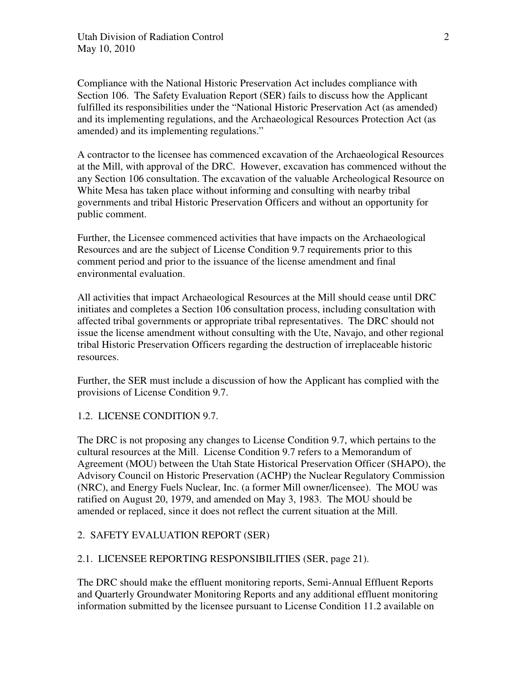Compliance with the National Historic Preservation Act includes compliance with Section 106. The Safety Evaluation Report (SER) fails to discuss how the Applicant fulfilled its responsibilities under the "National Historic Preservation Act (as amended) and its implementing regulations, and the Archaeological Resources Protection Act (as amended) and its implementing regulations."

A contractor to the licensee has commenced excavation of the Archaeological Resources at the Mill, with approval of the DRC. However, excavation has commenced without the any Section 106 consultation. The excavation of the valuable Archeological Resource on White Mesa has taken place without informing and consulting with nearby tribal governments and tribal Historic Preservation Officers and without an opportunity for public comment.

Further, the Licensee commenced activities that have impacts on the Archaeological Resources and are the subject of License Condition 9.7 requirements prior to this comment period and prior to the issuance of the license amendment and final environmental evaluation.

All activities that impact Archaeological Resources at the Mill should cease until DRC initiates and completes a Section 106 consultation process, including consultation with affected tribal governments or appropriate tribal representatives. The DRC should not issue the license amendment without consulting with the Ute, Navajo, and other regional tribal Historic Preservation Officers regarding the destruction of irreplaceable historic resources.

Further, the SER must include a discussion of how the Applicant has complied with the provisions of License Condition 9.7.

# 1.2. LICENSE CONDITION 9.7.

The DRC is not proposing any changes to License Condition 9.7, which pertains to the cultural resources at the Mill. License Condition 9.7 refers to a Memorandum of Agreement (MOU) between the Utah State Historical Preservation Officer (SHAPO), the Advisory Council on Historic Preservation (ACHP) the Nuclear Regulatory Commission (NRC), and Energy Fuels Nuclear, Inc. (a former Mill owner/licensee). The MOU was ratified on August 20, 1979, and amended on May 3, 1983. The MOU should be amended or replaced, since it does not reflect the current situation at the Mill.

# 2. SAFETY EVALUATION REPORT (SER)

#### 2.1. LICENSEE REPORTING RESPONSIBILITIES (SER, page 21).

The DRC should make the effluent monitoring reports, Semi-Annual Effluent Reports and Quarterly Groundwater Monitoring Reports and any additional effluent monitoring information submitted by the licensee pursuant to License Condition 11.2 available on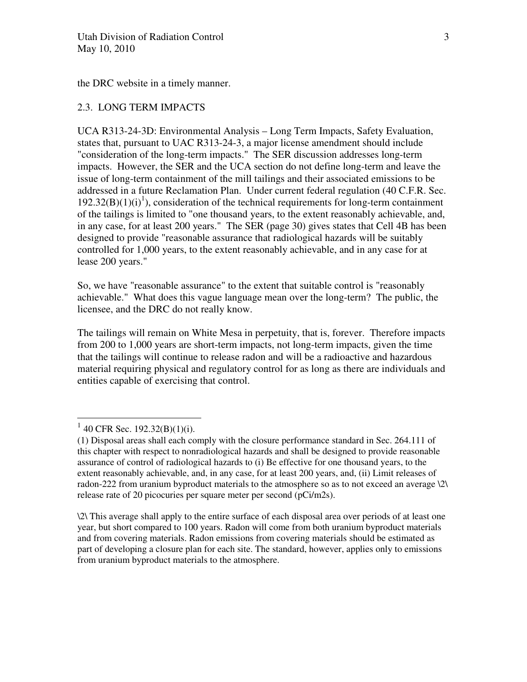the DRC website in a timely manner.

#### 2.3. LONG TERM IMPACTS

UCA R313-24-3D: Environmental Analysis – Long Term Impacts, Safety Evaluation, states that, pursuant to UAC R313-24-3, a major license amendment should include "consideration of the long-term impacts." The SER discussion addresses long-term impacts. However, the SER and the UCA section do not define long-term and leave the issue of long-term containment of the mill tailings and their associated emissions to be addressed in a future Reclamation Plan. Under current federal regulation (40 C.F.R. Sec.  $192.32(B)(1)(i)^{1}$ , consideration of the technical requirements for long-term containment of the tailings is limited to "one thousand years, to the extent reasonably achievable, and, in any case, for at least 200 years." The SER (page 30) gives states that Cell 4B has been designed to provide "reasonable assurance that radiological hazards will be suitably controlled for 1,000 years, to the extent reasonably achievable, and in any case for at lease 200 years."

So, we have "reasonable assurance" to the extent that suitable control is "reasonably achievable." What does this vague language mean over the long-term? The public, the licensee, and the DRC do not really know.

The tailings will remain on White Mesa in perpetuity, that is, forever. Therefore impacts from 200 to 1,000 years are short-term impacts, not long-term impacts, given the time that the tailings will continue to release radon and will be a radioactive and hazardous material requiring physical and regulatory control for as long as there are individuals and entities capable of exercising that control.

\2\ This average shall apply to the entire surface of each disposal area over periods of at least one year, but short compared to 100 years. Radon will come from both uranium byproduct materials and from covering materials. Radon emissions from covering materials should be estimated as part of developing a closure plan for each site. The standard, however, applies only to emissions from uranium byproduct materials to the atmosphere.

 $1\overline{40}$  CFR Sec. 192.32(B)(1)(i).

<sup>(1)</sup> Disposal areas shall each comply with the closure performance standard in Sec. 264.111 of this chapter with respect to nonradiological hazards and shall be designed to provide reasonable assurance of control of radiological hazards to (i) Be effective for one thousand years, to the extent reasonably achievable, and, in any case, for at least 200 years, and, (ii) Limit releases of radon-222 from uranium byproduct materials to the atmosphere so as to not exceed an average \2\ release rate of 20 picocuries per square meter per second (pCi/m2s).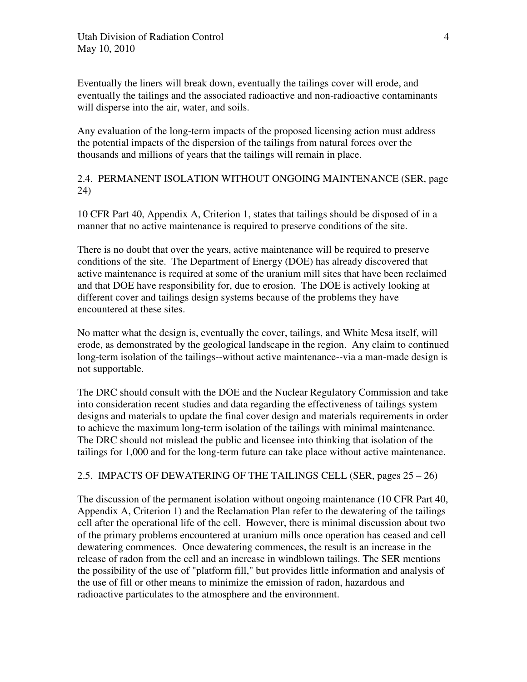Eventually the liners will break down, eventually the tailings cover will erode, and eventually the tailings and the associated radioactive and non-radioactive contaminants will disperse into the air, water, and soils.

Any evaluation of the long-term impacts of the proposed licensing action must address the potential impacts of the dispersion of the tailings from natural forces over the thousands and millions of years that the tailings will remain in place.

# 2.4. PERMANENT ISOLATION WITHOUT ONGOING MAINTENANCE (SER, page 24)

10 CFR Part 40, Appendix A, Criterion 1, states that tailings should be disposed of in a manner that no active maintenance is required to preserve conditions of the site.

There is no doubt that over the years, active maintenance will be required to preserve conditions of the site. The Department of Energy (DOE) has already discovered that active maintenance is required at some of the uranium mill sites that have been reclaimed and that DOE have responsibility for, due to erosion. The DOE is actively looking at different cover and tailings design systems because of the problems they have encountered at these sites.

No matter what the design is, eventually the cover, tailings, and White Mesa itself, will erode, as demonstrated by the geological landscape in the region. Any claim to continued long-term isolation of the tailings--without active maintenance--via a man-made design is not supportable.

The DRC should consult with the DOE and the Nuclear Regulatory Commission and take into consideration recent studies and data regarding the effectiveness of tailings system designs and materials to update the final cover design and materials requirements in order to achieve the maximum long-term isolation of the tailings with minimal maintenance. The DRC should not mislead the public and licensee into thinking that isolation of the tailings for 1,000 and for the long-term future can take place without active maintenance.

# 2.5. IMPACTS OF DEWATERING OF THE TAILINGS CELL (SER, pages 25 – 26)

The discussion of the permanent isolation without ongoing maintenance (10 CFR Part 40, Appendix A, Criterion 1) and the Reclamation Plan refer to the dewatering of the tailings cell after the operational life of the cell. However, there is minimal discussion about two of the primary problems encountered at uranium mills once operation has ceased and cell dewatering commences. Once dewatering commences, the result is an increase in the release of radon from the cell and an increase in windblown tailings. The SER mentions the possibility of the use of "platform fill," but provides little information and analysis of the use of fill or other means to minimize the emission of radon, hazardous and radioactive particulates to the atmosphere and the environment.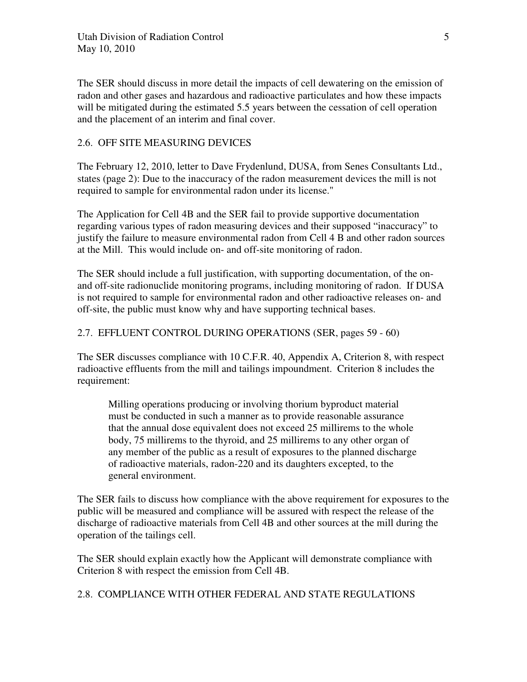The SER should discuss in more detail the impacts of cell dewatering on the emission of radon and other gases and hazardous and radioactive particulates and how these impacts will be mitigated during the estimated 5.5 years between the cessation of cell operation and the placement of an interim and final cover.

# 2.6. OFF SITE MEASURING DEVICES

The February 12, 2010, letter to Dave Frydenlund, DUSA, from Senes Consultants Ltd., states (page 2): Due to the inaccuracy of the radon measurement devices the mill is not required to sample for environmental radon under its license."

The Application for Cell 4B and the SER fail to provide supportive documentation regarding various types of radon measuring devices and their supposed "inaccuracy" to justify the failure to measure environmental radon from Cell 4 B and other radon sources at the Mill. This would include on- and off-site monitoring of radon.

The SER should include a full justification, with supporting documentation, of the onand off-site radionuclide monitoring programs, including monitoring of radon. If DUSA is not required to sample for environmental radon and other radioactive releases on- and off-site, the public must know why and have supporting technical bases.

# 2.7. EFFLUENT CONTROL DURING OPERATIONS (SER, pages 59 - 60)

The SER discusses compliance with 10 C.F.R. 40, Appendix A, Criterion 8, with respect radioactive effluents from the mill and tailings impoundment. Criterion 8 includes the requirement:

Milling operations producing or involving thorium byproduct material must be conducted in such a manner as to provide reasonable assurance that the annual dose equivalent does not exceed 25 millirems to the whole body, 75 millirems to the thyroid, and 25 millirems to any other organ of any member of the public as a result of exposures to the planned discharge of radioactive materials, radon-220 and its daughters excepted, to the general environment.

The SER fails to discuss how compliance with the above requirement for exposures to the public will be measured and compliance will be assured with respect the release of the discharge of radioactive materials from Cell 4B and other sources at the mill during the operation of the tailings cell.

The SER should explain exactly how the Applicant will demonstrate compliance with Criterion 8 with respect the emission from Cell 4B.

2.8. COMPLIANCE WITH OTHER FEDERAL AND STATE REGULATIONS